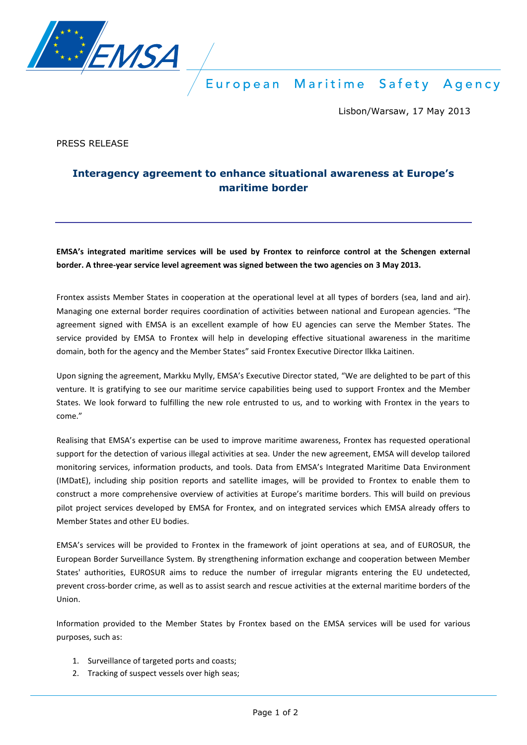

European Maritime Safety Agency

Lisbon/Warsaw, 17 May 2013

PRESS RELEASE

## **Interagency agreement to enhance situational awareness at Europe's maritime border**

**EMSA's integrated maritime services will be used by Frontex to reinforce control at the Schengen external border. A three-year service level agreement was signed between the two agencies on 3 May 2013.** 

Frontex assists Member States in cooperation at the operational level at all types of borders (sea, land and air). Managing one external border requires coordination of activities between national and European agencies. "The agreement signed with EMSA is an excellent example of how EU agencies can serve the Member States. The service provided by EMSA to Frontex will help in developing effective situational awareness in the maritime domain, both for the agency and the Member States" said Frontex Executive Director Ilkka Laitinen.

Upon signing the agreement, Markku Mylly, EMSA's Executive Director stated, "We are delighted to be part of this venture. It is gratifying to see our maritime service capabilities being used to support Frontex and the Member States. We look forward to fulfilling the new role entrusted to us, and to working with Frontex in the years to come."

Realising that EMSA's expertise can be used to improve maritime awareness, Frontex has requested operational support for the detection of various illegal activities at sea. Under the new agreement, EMSA will develop tailored monitoring services, information products, and tools. Data from EMSA's Integrated Maritime Data Environment (IMDatE), including ship position reports and satellite images, will be provided to Frontex to enable them to construct a more comprehensive overview of activities at Europe's maritime borders. This will build on previous pilot project services developed by EMSA for Frontex, and on integrated services which EMSA already offers to Member States and other EU bodies.

EMSA's services will be provided to Frontex in the framework of joint operations at sea, and of EUROSUR, the European Border Surveillance System. By strengthening information exchange and cooperation between Member States' authorities, EUROSUR aims to reduce the number of irregular migrants entering the EU undetected, prevent cross-border crime, as well as to assist search and rescue activities at the external maritime borders of the Union.

Information provided to the Member States by Frontex based on the EMSA services will be used for various purposes, such as:

- 1. Surveillance of targeted ports and coasts;
- 2. Tracking of suspect vessels over high seas;